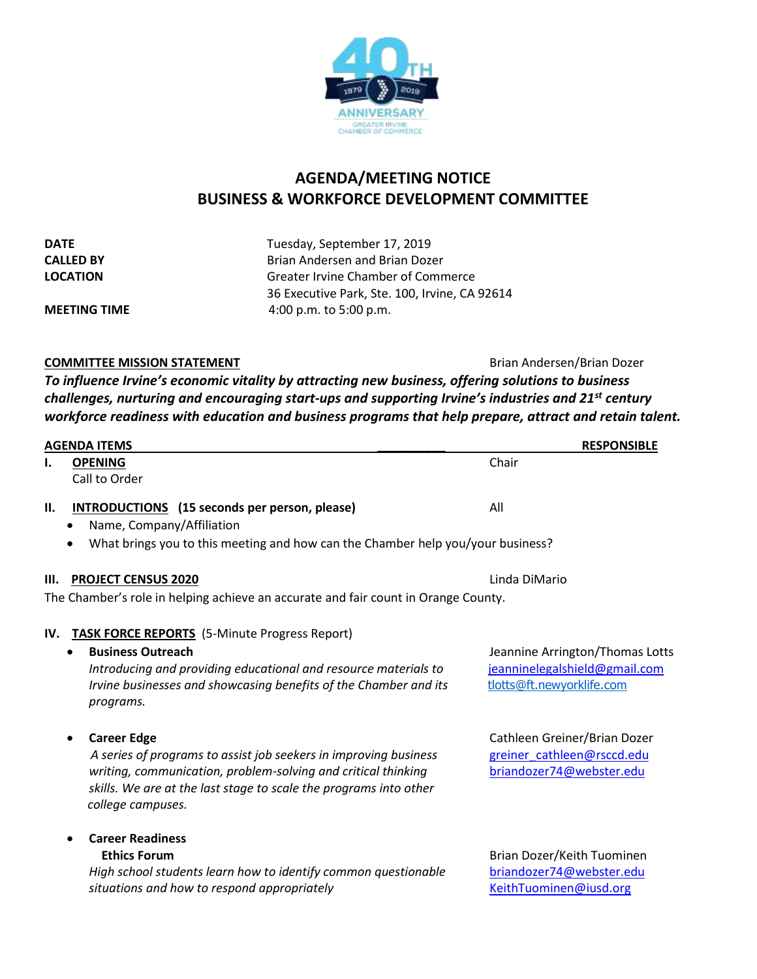

# **AGENDA/MEETING NOTICE BUSINESS & WORKFORCE DEVELOPMENT COMMITTEE**

| <b>DATE</b>         | Tuesday, September 17, 2019                   |  |
|---------------------|-----------------------------------------------|--|
| <b>CALLED BY</b>    | Brian Andersen and Brian Dozer                |  |
| <b>LOCATION</b>     | Greater Irvine Chamber of Commerce            |  |
|                     | 36 Executive Park, Ste. 100, Irvine, CA 92614 |  |
| <b>MEETING TIME</b> | 4:00 p.m. to 5:00 p.m.                        |  |

## **COMMITTEE MISSION STATEMENT Brian Andersen/Brian Dozer**

*To influence Irvine's economic vitality by attracting new business, offering solutions to business challenges, nurturing and encouraging start-ups and supporting Irvine's industries and 21st century workforce readiness with education and business programs that help prepare, attract and retain talent.*

| <b>AGENDA ITEMS</b> |                                                                                                                                                                                                                                                   | <b>RESPONSIBLE</b>                                                                            |  |
|---------------------|---------------------------------------------------------------------------------------------------------------------------------------------------------------------------------------------------------------------------------------------------|-----------------------------------------------------------------------------------------------|--|
| ı.                  | <b>OPENING</b><br>Call to Order                                                                                                                                                                                                                   | Chair                                                                                         |  |
| П.                  | <b>INTRODUCTIONS</b> (15 seconds per person, please)<br>Name, Company/Affiliation<br>What brings you to this meeting and how can the Chamber help you/your business?                                                                              | All                                                                                           |  |
|                     |                                                                                                                                                                                                                                                   |                                                                                               |  |
| Ш.                  | <b>PROJECT CENSUS 2020</b>                                                                                                                                                                                                                        | Linda DiMario                                                                                 |  |
|                     | The Chamber's role in helping achieve an accurate and fair count in Orange County.                                                                                                                                                                |                                                                                               |  |
| IV.                 | <b>TASK FORCE REPORTS</b> (5-Minute Progress Report)<br><b>Business Outreach</b><br>Introducing and providing educational and resource materials to<br>Irvine businesses and showcasing benefits of the Chamber and its<br>programs.              | Jeannine Arrington/Thomas Lotts<br>jeanninelegalshield@gmail.com<br>tlotts@ft.newyorklife.com |  |
|                     | <b>Career Edge</b><br>A series of programs to assist job seekers in improving business<br>writing, communication, problem-solving and critical thinking<br>skills. We are at the last stage to scale the programs into other<br>college campuses. | Cathleen Greiner/Brian Dozer<br>greiner cathleen@rsccd.edu<br>briandozer74@webster.edu        |  |
|                     | <b>Career Readiness</b><br><b>Ethics Forum</b><br>High school students learn how to identify common questionable<br>situations and how to respond appropriately                                                                                   | Brian Dozer/Keith Tuominen<br>briandozer74@webster.edu<br>KeithTuominen@iusd.org              |  |